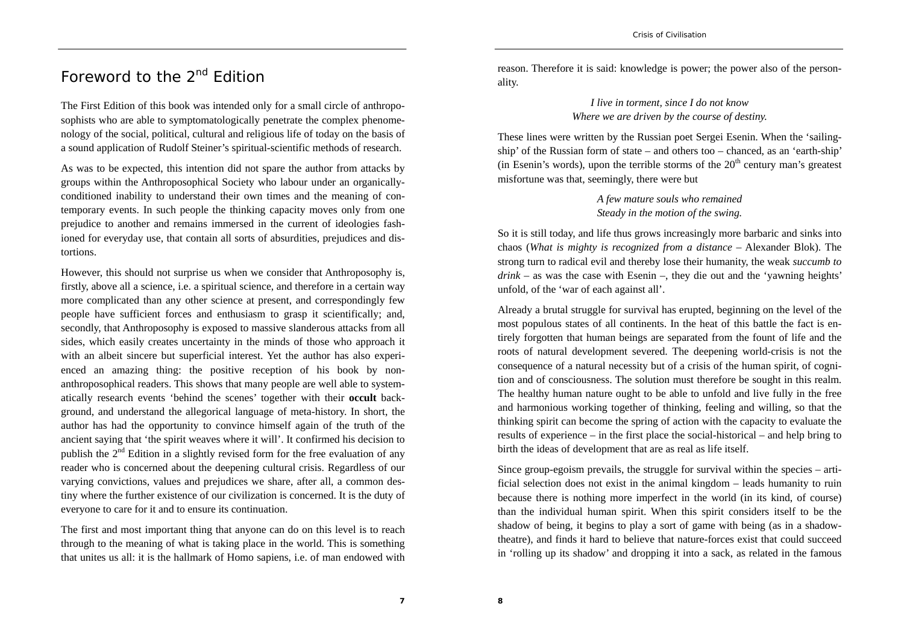## Foreword to the 2<sup>nd</sup> Edition

The First Edition of this book was intended only for a small circle of anthroposophists who are able to symptomatologically penetrate the complex phenomenology of the social, political, cultural and religious life of today on the basis of a sound application of Rudolf Steiner's spiritual-scientific methods of research.

As was to be expected, this intention did not spare the author from attacks by groups within the Anthroposophical Society who labour under an organicallyconditioned inability to understand their own times and the meaning of contemporary events. In such people the thinking capacity moves only from one prejudice to another and remains immersed in the current of ideologies fashioned for everyday use, that contain all sorts of absurdities, prejudices and distortions.

However, this should not surprise us when we consider that Anthroposophy is, firstly, above all a science, i.e. a spiritual science, and therefore in a certain way more complicated than any other science at present, and correspondingly few people have sufficient forces and enthusiasm to grasp it scientifically; and, secondly, that Anthroposophy is exposed to massive slanderous attacks from all sides, which easily creates uncertainty in the minds of those who approach it with an albeit sincere but superficial interest. Yet the author has also experienced an amazing thing: the positive reception of his book by nonanthroposophical readers. This shows that many people are well able to systematically research events 'behind the scenes' together with their **occult** background, and understand the allegorical language of meta-history. In short, the author has had the opportunity to convince himself again of the truth of the ancient saying that 'the spirit weaves where it will'. It confirmed his decision to publish the  $2<sup>nd</sup>$  Edition in a slightly revised form for the free evaluation of any reader who is concerned about the deepening cultural crisis. Regardless of our varying convictions, values and prejudices we share, after all, a common destiny where the further existence of our civilization is concerned. It is the duty of everyone to care for it and to ensure its continuation.

The first and most important thing that anyone can do on this level is to reach through to the meaning of what is taking place in the world. This is something that unites us all: it is the hallmark of Homo sapiens, i.e. of man endowed with

reason. Therefore it is said: knowledge is power; the power also of the personality.

## *I live in torment, since I do not know Where we are driven by the course of destiny.*

These lines were written by the Russian poet Sergei Esenin. When the 'sailingship' of the Russian form of state – and others too – chanced, as an 'earth-ship' (in Esenin's words), upon the terrible storms of the  $20<sup>th</sup>$  century man's greatest misfortune was that, seemingly, there were but

> *A few mature souls who remained Steady in the motion of the swing.*

So it is still today, and life thus grows increasingly more barbaric and sinks into chaos (*What is mighty is recognized from a distance* – Alexander Blok). The strong turn to radical evil and thereby lose their humanity, the weak *succumb to*   $drink -$  as was the case with Esenin –, they die out and the 'yawning heights' unfold, of the 'war of each against all'.

Already a brutal struggle for survival has erupted, beginning on the level of the most populous states of all continents. In the heat of this battle the fact is entirely forgotten that human beings are separated from the fount of life and the roots of natural development severed. The deepening world-crisis is not the consequence of a natural necessity but of a crisis of the human spirit, of cognition and of consciousness. The solution must therefore be sought in this realm. The healthy human nature ought to be able to unfold and live fully in the free and harmonious working together of thinking, feeling and willing, so that the thinking spirit can become the spring of action with the capacity to evaluate the results of experience – in the first place the social-historical – and help bring to birth the ideas of development that are as real as life itself.

Since group-egoism prevails, the struggle for survival within the species – artificial selection does not exist in the animal kingdom – leads humanity to ruin because there is nothing more imperfect in the world (in its kind, of course) than the individual human spirit. When this spirit considers itself to be the shadow of being, it begins to play a sort of game with being (as in a shadowtheatre), and finds it hard to believe that nature-forces exist that could succeed in 'rolling up its shadow' and dropping it into a sack, as related in the famous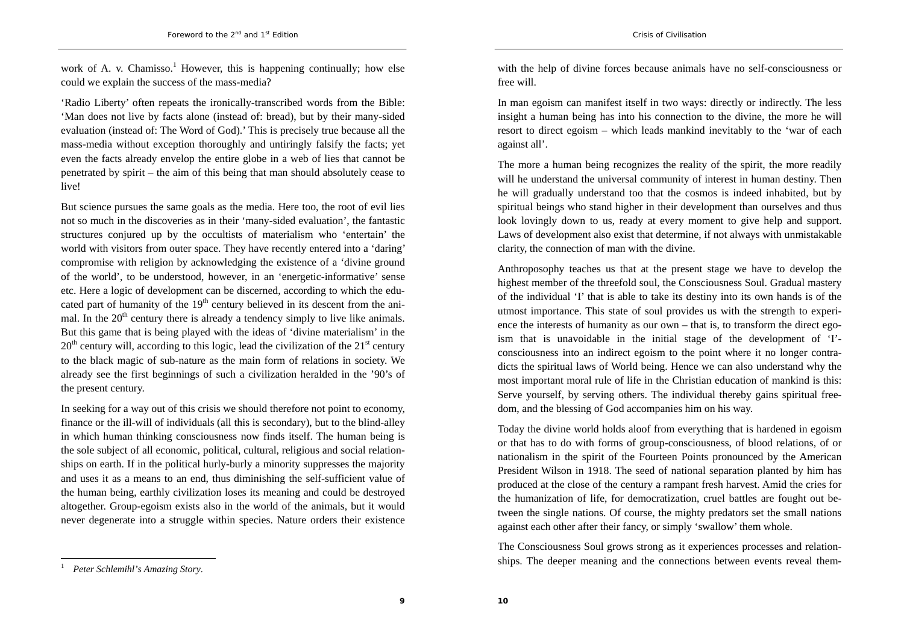work of A. v. Chamisso.<sup>1</sup> However, this is happening continually; how else could we explain the success of the mass-media?

'Radio Liberty' often repeats the ironically-transcribed words from the Bible: 'Man does not live by facts alone (instead of: bread), but by their many-sided evaluation (instead of: The Word of God).' This is precisely true because all the mass-media without exception thoroughly and untiringly falsify the facts; yet even the facts already envelop the entire globe in a web of lies that cannot be penetrated by spirit – the aim of this being that man should absolutely cease to live!

But science pursues the same goals as the media. Here too, the root of evil lies not so much in the discoveries as in their 'many-sided evaluation', the fantastic structures conjured up by the occultists of materialism who 'entertain' the world with visitors from outer space. They have recently entered into a 'daring' compromise with religion by acknowledging the existence of a 'divine ground of the world', to be understood, however, in an 'energetic-informative' sense etc. Here a logic of development can be discerned, according to which the educated part of humanity of the  $19<sup>th</sup>$  century believed in its descent from the animal. In the  $20<sup>th</sup>$  century there is already a tendency simply to live like animals. But this game that is being played with the ideas of 'divine materialism' in the  $20<sup>th</sup>$  century will, according to this logic, lead the civilization of the  $21<sup>st</sup>$  century to the black magic of sub-nature as the main form of relations in society. We already see the first beginnings of such a civilization heralded in the '90's of the present century.

In seeking for a way out of this crisis we should therefore not point to economy, finance or the ill-will of individuals (all this is secondary), but to the blind-alley in which human thinking consciousness now finds itself. The human being is the sole subject of all economic, political, cultural, religious and social relationships on earth. If in the political hurly-burly a minority suppresses the majority and uses it as a means to an end, thus diminishing the self-sufficient value of the human being, earthly civilization loses its meaning and could be destroyed altogether. Group-egoism exists also in the world of the animals, but it would never degenerate into a struggle within species. Nature orders their existence with the help of divine forces because animals have no self-consciousness or free will.

In man egoism can manifest itself in two ways: directly or indirectly. The less insight a human being has into his connection to the divine, the more he will resort to direct egoism – which leads mankind inevitably to the 'war of each against all'.

The more a human being recognizes the reality of the spirit, the more readily will he understand the universal community of interest in human destiny. Then he will gradually understand too that the cosmos is indeed inhabited, but by spiritual beings who stand higher in their development than ourselves and thus look lovingly down to us, ready at every moment to give help and support. Laws of development also exist that determine, if not always with unmistakable clarity, the connection of man with the divine.

Anthroposophy teaches us that at the present stage we have to develop the highest member of the threefold soul, the Consciousness Soul. Gradual mastery of the individual 'I' that is able to take its destiny into its own hands is of the utmost importance. This state of soul provides us with the strength to experience the interests of humanity as our own – that is, to transform the direct egoism that is unavoidable in the initial stage of the development of 'I' consciousness into an indirect egoism to the point where it no longer contradicts the spiritual laws of World being. Hence we can also understand why the most important moral rule of life in the Christian education of mankind is this: Serve yourself, by serving others. The individual thereby gains spiritual freedom, and the blessing of God accompanies him on his way.

Today the divine world holds aloof from everything that is hardened in egoism or that has to do with forms of group-consciousness, of blood relations, of or nationalism in the spirit of the Fourteen Points pronounced by the American President Wilson in 1918. The seed of national separation planted by him has produced at the close of the century a rampant fresh harvest. Amid the cries for the humanization of life, for democratization, cruel battles are fought out between the single nations. Of course, the mighty predators set the small nations against each other after their fancy, or simply 'swallow' them whole.

The Consciousness Soul grows strong as it experiences processes and relationships. The deeper meaning and the connections between events reveal them-

*Peter Schlemihl's Amazing Story*.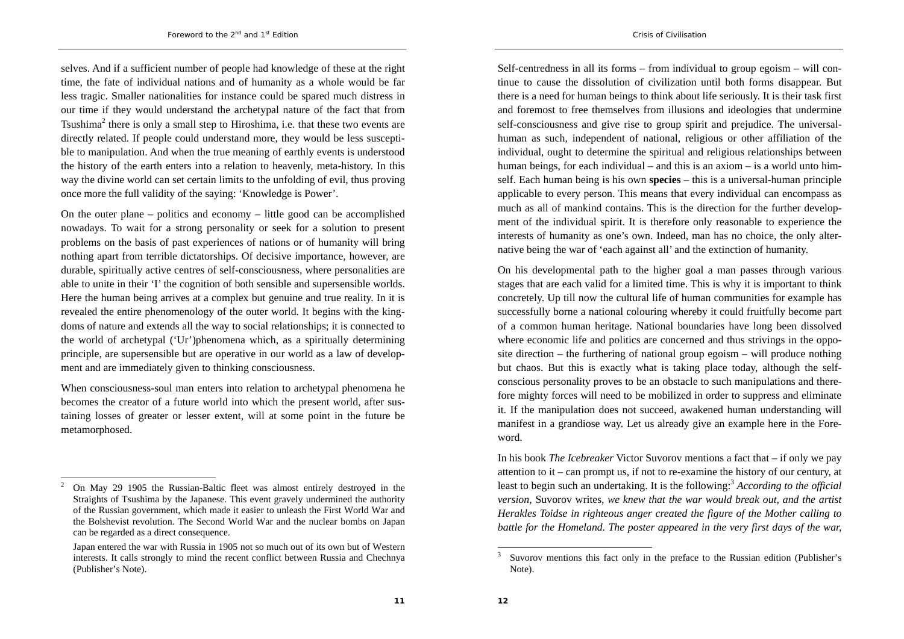selves. And if a sufficient number of people had knowledge of these at the right time, the fate of individual nations and of humanity as a whole would be far less tragic. Smaller nationalities for instance could be spared much distress in our time if they would understand the archetypal nature of the fact that from Tsushima<sup>2</sup> there is only a small step to Hiroshima, i.e. that these two events are directly related. If people could understand more, they would be less susceptible to manipulation. And when the true meaning of earthly events is understood the history of the earth enters into a relation to heavenly, meta-history. In this way the divine world can set certain limits to the unfolding of evil, thus proving once more the full validity of the saying: 'Knowledge is Power'.

On the outer plane – politics and economy – little good can be accomplished nowadays. To wait for a strong personality or seek for a solution to present problems on the basis of past experiences of nations or of humanity will bring nothing apart from terrible dictatorships. Of decisive importance, however, are durable, spiritually active centres of self-consciousness, where personalities are able to unite in their 'I' the cognition of both sensible and supersensible worlds. Here the human being arrives at a complex but genuine and true reality. In it is revealed the entire phenomenology of the outer world. It begins with the kingdoms of nature and extends all the way to social relationships; it is connected to the world of archetypal ('Ur')phenomena which, as a spiritually determining principle, are supersensible but are operative in our world as a law of development and are immediately given to thinking consciousness.

When consciousness-soul man enters into relation to archetypal phenomena he becomes the creator of a future world into which the present world, after sustaining losses of greater or lesser extent, will at some point in the future be metamorphosed.

Self-centredness in all its forms – from individual to group egoism – will continue to cause the dissolution of civilization until both forms disappear. But there is a need for human beings to think about life seriously. It is their task first and foremost to free themselves from illusions and ideologies that undermine self-consciousness and give rise to group spirit and prejudice. The universalhuman as such, independent of national, religious or other affiliation of the individual, ought to determine the spiritual and religious relationships between human beings, for each individual – and this is an axiom – is a world unto himself. Each human being is his own **species** – this is a universal-human principle applicable to every person. This means that every individual can encompass as much as all of mankind contains. This is the direction for the further development of the individual spirit. It is therefore only reasonable to experience the interests of humanity as one's own. Indeed, man has no choice, the only alternative being the war of 'each against all' and the extinction of humanity.

On his developmental path to the higher goal a man passes through various stages that are each valid for a limited time. This is why it is important to think concretely. Up till now the cultural life of human communities for example has successfully borne a national colouring whereby it could fruitfully become part of a common human heritage. National boundaries have long been dissolved where economic life and politics are concerned and thus strivings in the opposite direction – the furthering of national group egoism – will produce nothing but chaos. But this is exactly what is taking place today, although the selfconscious personality proves to be an obstacle to such manipulations and therefore mighty forces will need to be mobilized in order to suppress and eliminate it. If the manipulation does not succeed, awakened human understanding will manifest in a grandiose way. Let us already give an example here in the Foreword.

In his book *The Icebreaker* Victor Suvorov mentions a fact that – if only we pay attention to it – can prompt us, if not to re-examine the history of our century, at least to begin such an undertaking. It is the following:<sup>3</sup> *According to the official version,* Suvorov writes, *we knew that the war would break out, and the artist Herakles Toidse in righteous anger created the figure of the Mother calling to battle for the Homeland. The poster appeared in the very first days of the war,* 

 $2$  On May 29 1905 the Russian-Baltic fleet was almost entirely destroyed in the Straights of Tsushima by the Japanese. This event gravely undermined the authority of the Russian government, which made it easier to unleash the First World War and the Bolshevist revolution. The Second World War and the nuclear bombs on Japan can be regarded as a direct consequence.

Japan entered the war with Russia in 1905 not so much out of its own but of Western interests. It calls strongly to mind the recent conflict between Russia and Chechnya (Publisher's Note).

Suvorov mentions this fact only in the preface to the Russian edition (Publisher's Note).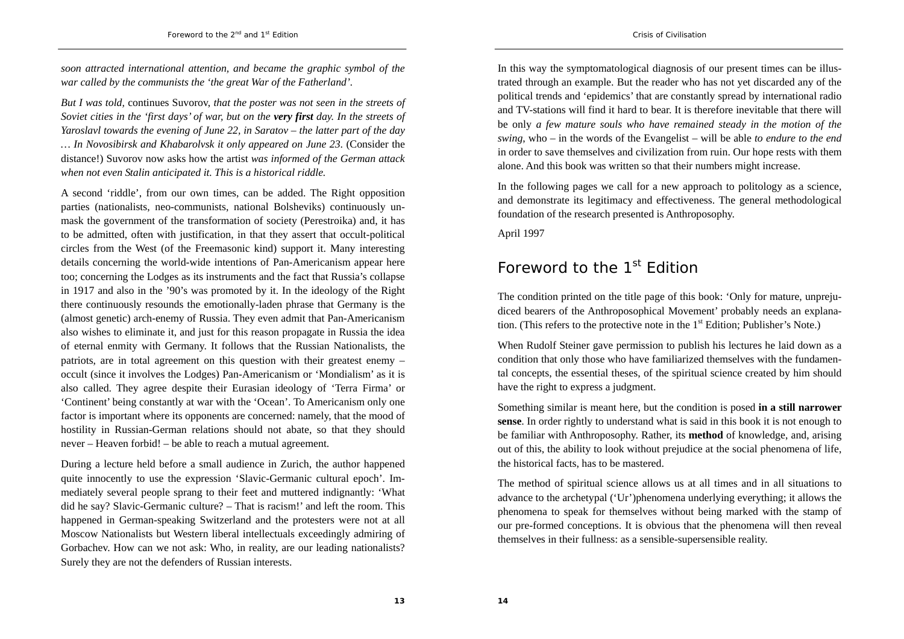*soon attracted international attention, and became the graphic symbol of the war called by the communists the 'the great War of the Fatherland'.* 

*But I was told,* continues Suvorov, *that the poster was not seen in the streets of Soviet cities in the 'first days' of war, but on the very first day. In the streets of Yaroslavl towards the evening of June 22, in Saratov – the latter part of the day … In Novosibirsk and Khabarolvsk it only appeared on June 23*. (Consider the distance!) Suvorov now asks how the artist *was informed of the German attack when not even Stalin anticipated it. This is a historical riddle.*

A second 'riddle', from our own times, can be added. The Right opposition parties (nationalists, neo-communists, national Bolsheviks) continuously unmask the government of the transformation of society (Perestroika) and, it has to be admitted, often with justification, in that they assert that occult-political circles from the West (of the Freemasonic kind) support it. Many interesting details concerning the world-wide intentions of Pan-Americanism appear here too; concerning the Lodges as its instruments and the fact that Russia's collapse in 1917 and also in the '90's was promoted by it. In the ideology of the Right there continuously resounds the emotionally-laden phrase that Germany is the (almost genetic) arch-enemy of Russia. They even admit that Pan-Americanism also wishes to eliminate it, and just for this reason propagate in Russia the idea of eternal enmity with Germany. It follows that the Russian Nationalists, the patriots, are in total agreement on this question with their greatest enemy – occult (since it involves the Lodges) Pan-Americanism or 'Mondialism' as it is also called. They agree despite their Eurasian ideology of 'Terra Firma' or 'Continent' being constantly at war with the 'Ocean'. To Americanism only one factor is important where its opponents are concerned: namely, that the mood of hostility in Russian-German relations should not abate, so that they should never – Heaven forbid! – be able to reach a mutual agreement.

During a lecture held before a small audience in Zurich, the author happened quite innocently to use the expression 'Slavic-Germanic cultural epoch'. Immediately several people sprang to their feet and muttered indignantly: 'What did he say? Slavic-Germanic culture? – That is racism!' and left the room. This happened in German-speaking Switzerland and the protesters were not at all Moscow Nationalists but Western liberal intellectuals exceedingly admiring of Gorbachev. How can we not ask: Who, in reality, are our leading nationalists? Surely they are not the defenders of Russian interests.

In this way the symptomatological diagnosis of our present times can be illustrated through an example. But the reader who has not yet discarded any of the political trends and 'epidemics' that are constantly spread by international radio and TV-stations will find it hard to bear. It is therefore inevitable that there will be only *a few mature souls who have remained steady in the motion of the swing*, who – in the words of the Evangelist – will be able *to endure to the end* in order to save themselves and civilization from ruin. Our hope rests with them alone. And this book was written so that their numbers might increase.

In the following pages we call for a new approach to politology as a science, and demonstrate its legitimacy and effectiveness. The general methodological foundation of the research presented is Anthroposophy.

April 1997

## Foreword to the 1<sup>st</sup> Edition

The condition printed on the title page of this book: 'Only for mature, unprejudiced bearers of the Anthroposophical Movement' probably needs an explanation. (This refers to the protective note in the  $1<sup>st</sup>$  Edition; Publisher's Note.)

When Rudolf Steiner gave permission to publish his lectures he laid down as a condition that only those who have familiarized themselves with the fundamental concepts, the essential theses, of the spiritual science created by him should have the right to express a judgment.

Something similar is meant here, but the condition is posed **in a still narrower sense**. In order rightly to understand what is said in this book it is not enough to be familiar with Anthroposophy. Rather, its **method** of knowledge, and, arising out of this, the ability to look without prejudice at the social phenomena of life, the historical facts, has to be mastered.

The method of spiritual science allows us at all times and in all situations to advance to the archetypal ('Ur')phenomena underlying everything; it allows the phenomena to speak for themselves without being marked with the stamp of our pre-formed conceptions. It is obvious that the phenomena will then reveal themselves in their fullness: as a sensible-supersensible reality.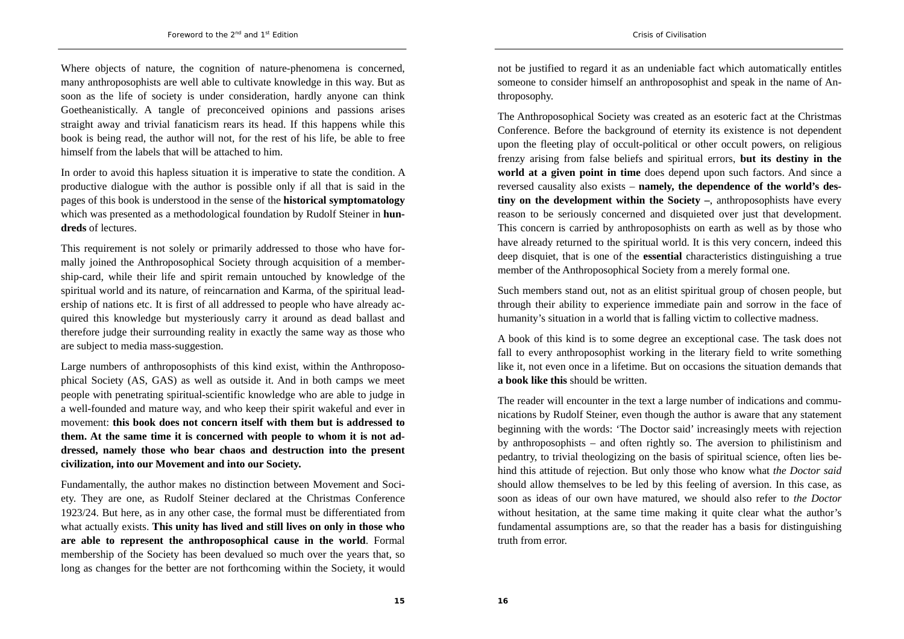Where objects of nature, the cognition of nature-phenomena is concerned, many anthroposophists are well able to cultivate knowledge in this way. But as soon as the life of society is under consideration, hardly anyone can think Goetheanistically. A tangle of preconceived opinions and passions arises straight away and trivial fanaticism rears its head. If this happens while this book is being read, the author will not, for the rest of his life, be able to free himself from the labels that will be attached to him.

In order to avoid this hapless situation it is imperative to state the condition. A productive dialogue with the author is possible only if all that is said in the pages of this book is understood in the sense of the **historical symptomatology** which was presented as a methodological foundation by Rudolf Steiner in **hundreds** of lectures.

This requirement is not solely or primarily addressed to those who have formally joined the Anthroposophical Society through acquisition of a membership-card, while their life and spirit remain untouched by knowledge of the spiritual world and its nature, of reincarnation and Karma, of the spiritual leadership of nations etc. It is first of all addressed to people who have already acquired this knowledge but mysteriously carry it around as dead ballast and therefore judge their surrounding reality in exactly the same way as those who are subject to media mass-suggestion.

Large numbers of anthroposophists of this kind exist, within the Anthroposophical Society (AS, GAS) as well as outside it. And in both camps we meet people with penetrating spiritual-scientific knowledge who are able to judge in a well-founded and mature way, and who keep their spirit wakeful and ever in movement: **this book does not concern itself with them but is addressed to them. At the same time it is concerned with people to whom it is not addressed, namely those who bear chaos and destruction into the present civilization, into our Movement and into our Society.** 

Fundamentally, the author makes no distinction between Movement and Society. They are one, as Rudolf Steiner declared at the Christmas Conference 1923/24. But here, as in any other case, the formal must be differentiated from what actually exists. **This unity has lived and still lives on only in those who are able to represent the anthroposophical cause in the world**. Formal membership of the Society has been devalued so much over the years that, so long as changes for the better are not forthcoming within the Society, it would

not be justified to regard it as an undeniable fact which automatically entitles someone to consider himself an anthroposophist and speak in the name of Anthroposophy.

The Anthroposophical Society was created as an esoteric fact at the Christmas Conference. Before the background of eternity its existence is not dependent upon the fleeting play of occult-political or other occult powers, on religious frenzy arising from false beliefs and spiritual errors, **but its destiny in the world at a given point in time** does depend upon such factors. And since a reversed causality also exists – **namely, the dependence of the world's destiny on the development within the Society –**, anthroposophists have every reason to be seriously concerned and disquieted over just that development. This concern is carried by anthroposophists on earth as well as by those who have already returned to the spiritual world. It is this very concern, indeed this deep disquiet, that is one of the **essential** characteristics distinguishing a true member of the Anthroposophical Society from a merely formal one.

Such members stand out, not as an elitist spiritual group of chosen people, but through their ability to experience immediate pain and sorrow in the face of humanity's situation in a world that is falling victim to collective madness.

A book of this kind is to some degree an exceptional case. The task does not fall to every anthroposophist working in the literary field to write something like it, not even once in a lifetime. But on occasions the situation demands that **a book like this** should be written.

The reader will encounter in the text a large number of indications and communications by Rudolf Steiner, even though the author is aware that any statement beginning with the words: 'The Doctor said' increasingly meets with rejection by anthroposophists – and often rightly so. The aversion to philistinism and pedantry, to trivial theologizing on the basis of spiritual science, often lies behind this attitude of rejection. But only those who know what *the Doctor said* should allow themselves to be led by this feeling of aversion. In this case, as soon as ideas of our own have matured, we should also refer to *the Doctor* without hesitation, at the same time making it quite clear what the author's fundamental assumptions are, so that the reader has a basis for distinguishing truth from error.